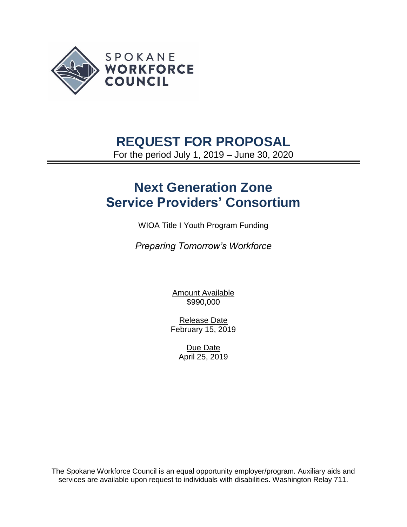

## **REQUEST FOR PROPOSAL**

For the period July 1, 2019 – June 30, 2020

# **Next Generation Zone Service Providers' Consortium**

WIOA Title I Youth Program Funding

*Preparing Tomorrow's Workforce*

Amount Available \$990,000

Release Date February 15, 2019

> Due Date April 25, 2019

The Spokane Workforce Council is an equal opportunity employer/program. Auxiliary aids and services are available upon request to individuals with disabilities. Washington Relay 711.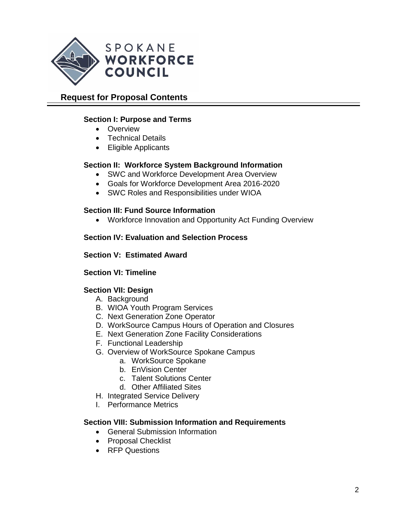

## **Request for Proposal Contents**

## **Section I: Purpose and Terms**

- Overview
- Technical Details
- Eligible Applicants

### **Section II: Workforce System Background Information**

- SWC and Workforce Development Area Overview
- Goals for Workforce Development Area 2016-2020
- SWC Roles and Responsibilities under WIOA

### **Section III: Fund Source Information**

• Workforce Innovation and Opportunity Act Funding Overview

### **Section IV: Evaluation and Selection Process**

#### **Section V: Estimated Award**

#### **Section VI: Timeline**

## **Section VII: Design**

- A. Background
- B. WIOA Youth Program Services
- C. Next Generation Zone Operator
- D. WorkSource Campus Hours of Operation and Closures
- E. Next Generation Zone Facility Considerations
- F. Functional Leadership
- G. Overview of WorkSource Spokane Campus
	- a. WorkSource Spokane
	- b. EnVision Center
	- c. Talent Solutions Center
	- d. Other Affiliated Sites
- H. Integrated Service Delivery
- I. Performance Metrics

#### **Section VIII: Submission Information and Requirements**

- General Submission Information
- Proposal Checklist
- RFP Questions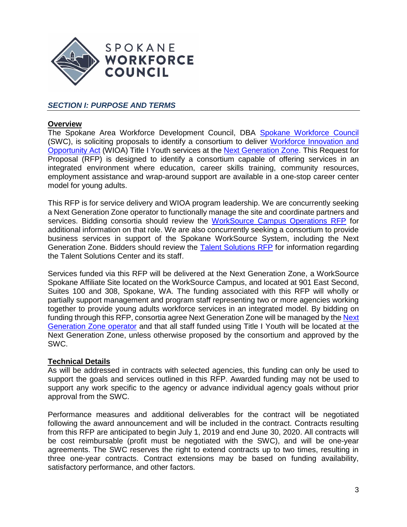

## *SECTION I: PURPOSE AND TERMS*

#### **Overview**

The Spokane Area Workforce Development Council, DBA [Spokane Workforce Council](https://wdcspokane.com/) (SWC), is soliciting proposals to identify a consortium to deliver [Workforce Innovation and](https://www.doleta.gov/wioa/)  [Opportunity Act](https://www.doleta.gov/wioa/) (WIOA) Title I Youth services at the [Next Generation Zone.](http://www.nextgenzone.org/) This Request for Proposal (RFP) is designed to identify a consortium capable of offering services in an integrated environment where education, career skills training, community resources, employment assistance and wrap-around support are available in a one-stop career center model for young adults.

This RFP is for service delivery and WIOA program leadership. We are concurrently seeking a Next Generation Zone operator to functionally manage the site and coordinate partners and services. Bidding consortia should review the [WorkSource Campus Operations RFP](https://wdcspokane.com/rfps) for additional information on that role. We are also concurrently seeking a consortium to provide business services in support of the Spokane WorkSource System, including the Next Generation Zone. Bidders should review the **Talent Solutions RFP** for information regarding the Talent Solutions Center and its staff.

Services funded via this RFP will be delivered at the Next Generation Zone, a WorkSource Spokane Affiliate Site located on the WorkSource Campus, and located at 901 East Second, Suites 100 and 308, Spokane, WA. The funding associated with this RFP will wholly or partially support management and program staff representing two or more agencies working together to provide young adults workforce services in an integrated model. By bidding on funding through this RFP, consortia agree [Next](https://wdcspokane.com/core/files/wdcspokane/uploads/files/SWC%20Policy%20WS818%20-%20Next%20Generation%20Zone%20Operator%20Final%202019.pdf) Generation Zone will be managed by the Next [Generation Zone operator](https://wdcspokane.com/core/files/wdcspokane/uploads/files/SWC%20Policy%20WS818%20-%20Next%20Generation%20Zone%20Operator%20Final%202019.pdf) and that all staff funded using Title I Youth will be located at the Next Generation Zone, unless otherwise proposed by the consortium and approved by the SWC.

#### **Technical Details**

As will be addressed in contracts with selected agencies, this funding can only be used to support the goals and services outlined in this RFP. Awarded funding may not be used to support any work specific to the agency or advance individual agency goals without prior approval from the SWC.

Performance measures and additional deliverables for the contract will be negotiated following the award announcement and will be included in the contract. Contracts resulting from this RFP are anticipated to begin July 1, 2019 and end June 30, 2020. All contracts will be cost reimbursable (profit must be negotiated with the SWC), and will be one-year agreements. The SWC reserves the right to extend contracts up to two times, resulting in three one-year contracts. Contract extensions may be based on funding availability, satisfactory performance, and other factors.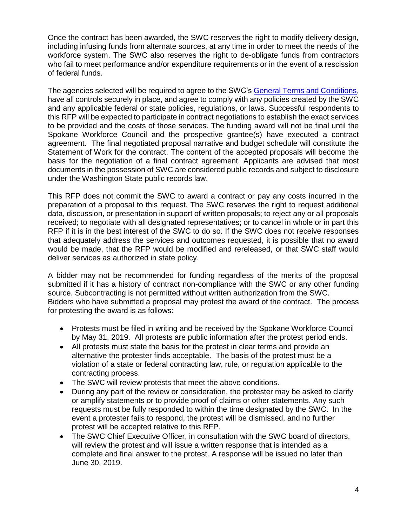Once the contract has been awarded, the SWC reserves the right to modify delivery design, including infusing funds from alternate sources, at any time in order to meet the needs of the workforce system. The SWC also reserves the right to de-obligate funds from contractors who fail to meet performance and/or expenditure requirements or in the event of a rescission of federal funds.

The agencies selected will be required to agree to the SWC'[s General Terms and Conditions,](https://wdcspokane.com/rfps) have all controls securely in place, and agree to comply with any policies created by the SWC and any applicable federal or state policies, regulations, or laws. Successful respondents to this RFP will be expected to participate in contract negotiations to establish the exact services to be provided and the costs of those services. The funding award will not be final until the Spokane Workforce Council and the prospective grantee(s) have executed a contract agreement. The final negotiated proposal narrative and budget schedule will constitute the Statement of Work for the contract. The content of the accepted proposals will become the basis for the negotiation of a final contract agreement. Applicants are advised that most documents in the possession of SWC are considered public records and subject to disclosure under the Washington State public records law.

This RFP does not commit the SWC to award a contract or pay any costs incurred in the preparation of a proposal to this request. The SWC reserves the right to request additional data, discussion, or presentation in support of written proposals; to reject any or all proposals received; to negotiate with all designated representatives; or to cancel in whole or in part this RFP if it is in the best interest of the SWC to do so. If the SWC does not receive responses that adequately address the services and outcomes requested, it is possible that no award would be made, that the RFP would be modified and rereleased, or that SWC staff would deliver services as authorized in state policy.

A bidder may not be recommended for funding regardless of the merits of the proposal submitted if it has a history of contract non-compliance with the SWC or any other funding source. Subcontracting is not permitted without written authorization from the SWC. Bidders who have submitted a proposal may protest the award of the contract. The process for protesting the award is as follows:

- Protests must be filed in writing and be received by the Spokane Workforce Council by May 31, 2019. All protests are public information after the protest period ends.
- All protests must state the basis for the protest in clear terms and provide an alternative the protester finds acceptable. The basis of the protest must be a violation of a state or federal contracting law, rule, or regulation applicable to the contracting process.
- The SWC will review protests that meet the above conditions.
- During any part of the review or consideration, the protester may be asked to clarify or amplify statements or to provide proof of claims or other statements. Any such requests must be fully responded to within the time designated by the SWC. In the event a protester fails to respond, the protest will be dismissed, and no further protest will be accepted relative to this RFP.
- The SWC Chief Executive Officer, in consultation with the SWC board of directors, will review the protest and will issue a written response that is intended as a complete and final answer to the protest. A response will be issued no later than June 30, 2019.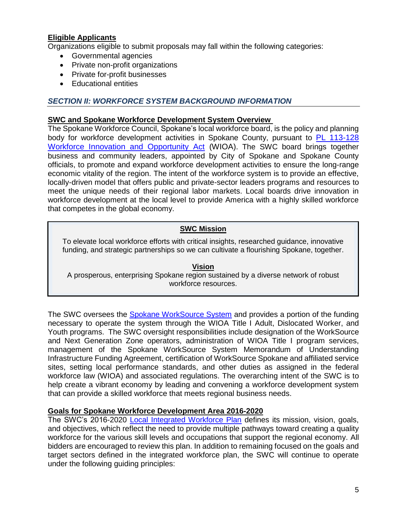## **Eligible Applicants**

Organizations eligible to submit proposals may fall within the following categories:

- Governmental agencies
- Private non-profit organizations
- Private for-profit businesses
- Educational entities

### **SECTION II: WORKFORCE SYSTEM BACKGROUND INFORMATION**

#### **SWC and Spokane Workforce Development System Overview**

The Spokane Workforce Council, Spokane's local workforce board, is the policy and planning body for workforce development activities in Spokane County, pursuant to PL 113-128 [Workforce Innovation and Opportunity Act](https://www.govinfo.gov/content/pkg/PLAW-113publ128/pdf/PLAW-113publ128.pdf) (WIOA). The SWC board brings together business and community leaders, appointed by City of Spokane and Spokane County officials, to promote and expand workforce development activities to ensure the long-range economic vitality of the region. The intent of the workforce system is to provide an effective, locally-driven model that offers public and private-sector leaders programs and resources to meet the unique needs of their regional labor markets. Local boards drive innovation in workforce development at the local level to provide America with a highly skilled workforce that competes in the global economy.

### **SWC Mission**

To elevate local workforce efforts with critical insights, researched guidance, innovative funding, and strategic partnerships so we can cultivate a flourishing Spokane, together.

**Vision** A prosperous, enterprising Spokane region sustained by a diverse network of robust workforce resources.

The SWC oversees the [Spokane WorkSource System](https://wdcspokane.com/job-seeker-resources) and provides a portion of the funding necessary to operate the system through the WIOA Title I Adult, Dislocated Worker, and Youth programs. The SWC oversight responsibilities include designation of the WorkSource and Next Generation Zone operators, administration of WIOA Title I program services, management of the Spokane WorkSource System Memorandum of Understanding Infrastructure Funding Agreement, certification of WorkSource Spokane and affiliated service sites, setting local performance standards, and other duties as assigned in the federal workforce law (WIOA) and associated regulations. The overarching intent of the SWC is to help create a vibrant economy by leading and convening a workforce development system that can provide a skilled workforce that meets regional business needs.

#### **Goals for Spokane Workforce Development Area 2016-2020**

The SWC's 2016-2020 [Local Integrated Workforce Plan](https://wdcspokane.com/core/files/wdcspokane/uploads/files/SAWDC%20WIOA%20Local%20Integrated%20Workforce%20Plan%20for%202016-2020_Final.pdf) defines its mission, vision, goals, and objectives, which reflect the need to provide multiple pathways toward creating a quality workforce for the various skill levels and occupations that support the regional economy. All bidders are encouraged to review this plan. In addition to remaining focused on the goals and target sectors defined in the integrated workforce plan, the SWC will continue to operate under the following guiding principles: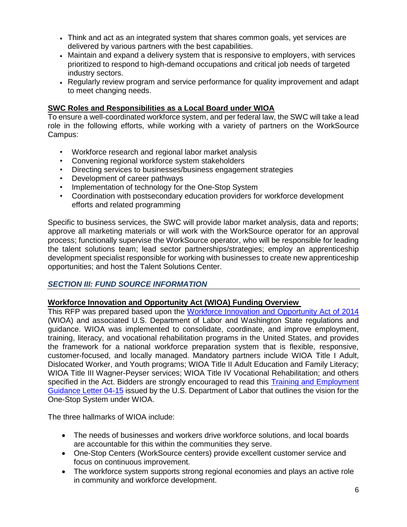- Think and act as an integrated system that shares common goals, yet services are delivered by various partners with the best capabilities.
- Maintain and expand a delivery system that is responsive to employers, with services prioritized to respond to high-demand occupations and critical job needs of targeted industry sectors.
- Regularly review program and service performance for quality improvement and adapt to meet changing needs.

### **SWC Roles and Responsibilities as a Local Board under WIOA**

To ensure a well-coordinated workforce system, and per federal law, the SWC will take a lead role in the following efforts, while working with a variety of partners on the WorkSource Campus:

- Workforce research and regional labor market analysis
- Convening regional workforce system stakeholders
- Directing services to businesses/business engagement strategies
- Development of career pathways
- Implementation of technology for the One-Stop System
- Coordination with postsecondary education providers for workforce development efforts and related programming

Specific to business services, the SWC will provide labor market analysis, data and reports; approve all marketing materials or will work with the WorkSource operator for an approval process; functionally supervise the WorkSource operator, who will be responsible for leading the talent solutions team; lead sector partnerships/strategies; employ an apprenticeship development specialist responsible for working with businesses to create new apprenticeship opportunities; and host the Talent Solutions Center.

#### *SECTION III: FUND SOURCE INFORMATION*

#### **Workforce Innovation and Opportunity Act (WIOA) Funding Overview**

This RFP was prepared based upon the [Workforce Innovation and Opportunity Act of 2014](https://www.doleta.gov/wioa/) (WIOA) and associated U.S. Department of Labor and Washington State regulations and guidance. WIOA was implemented to consolidate, coordinate, and improve employment, training, literacy, and vocational rehabilitation programs in the United States, and provides the framework for a national workforce preparation system that is flexible, responsive, customer-focused, and locally managed. Mandatory partners include WIOA Title I Adult, Dislocated Worker, and Youth programs; WIOA Title II Adult Education and Family Literacy; WIOA Title III Wagner-Peyser services; WIOA Title IV Vocational Rehabilitation; and others specified in the Act. Bidders are strongly encouraged to read this [Training and Employment](https://wdr.doleta.gov/directives/corr_doc.cfm?DOCN=6455)  [Guidance Letter](https://wdr.doleta.gov/directives/corr_doc.cfm?DOCN=6455) 04-15 issued by the U.S. Department of Labor that outlines the vision for the One-Stop System under WIOA.

The three hallmarks of WIOA include:

- The needs of businesses and workers drive workforce solutions, and local boards are accountable for this within the communities they serve.
- One-Stop Centers (WorkSource centers) provide excellent customer service and focus on continuous improvement.
- The workforce system supports strong regional economies and plays an active role in community and workforce development.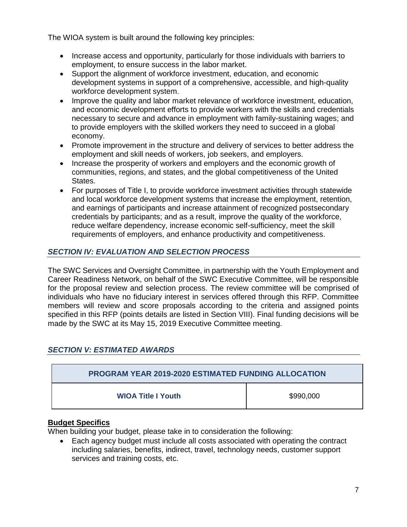The WIOA system is built around the following key principles:

- Increase access and opportunity, particularly for those individuals with barriers to employment, to ensure success in the labor market.
- Support the alignment of workforce investment, education, and economic development systems in support of a comprehensive, accessible, and high-quality workforce development system.
- Improve the quality and labor market relevance of workforce investment, education, and economic development efforts to provide workers with the skills and credentials necessary to secure and advance in employment with family-sustaining wages; and to provide employers with the skilled workers they need to succeed in a global economy.
- Promote improvement in the structure and delivery of services to better address the employment and skill needs of workers, job seekers, and employers.
- Increase the prosperity of workers and employers and the economic growth of communities, regions, and states, and the global competitiveness of the United States.
- For purposes of Title I, to provide workforce investment activities through statewide and local workforce development systems that increase the employment, retention, and earnings of participants and increase attainment of recognized postsecondary credentials by participants; and as a result, improve the quality of the workforce, reduce welfare dependency, increase economic self-sufficiency, meet the skill requirements of employers, and enhance productivity and competitiveness.

## *SECTION IV: EVALUATION AND SELECTION PROCESS*

The SWC Services and Oversight Committee, in partnership with the Youth Employment and Career Readiness Network, on behalf of the SWC Executive Committee, will be responsible for the proposal review and selection process. The review committee will be comprised of individuals who have no fiduciary interest in services offered through this RFP. Committee members will review and score proposals according to the criteria and assigned points specified in this RFP (points details are listed in Section VIII). Final funding decisions will be made by the SWC at its May 15, 2019 Executive Committee meeting.

## *SECTION V: ESTIMATED AWARDS*

| <b>PROGRAM YEAR 2019-2020 ESTIMATED FUNDING ALLOCATION</b> |           |
|------------------------------------------------------------|-----------|
| <b>WIOA Title I Youth</b>                                  | \$990,000 |

## **Budget Specifics**

When building your budget, please take in to consideration the following:

• Each agency budget must include all costs associated with operating the contract including salaries, benefits, indirect, travel, technology needs, customer support services and training costs, etc.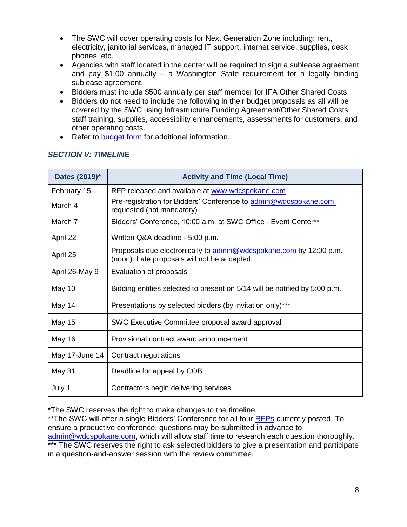- The SWC will cover operating costs for Next Generation Zone including: rent, electricity, janitorial services, managed IT support, internet service, supplies, desk phones, etc.
- Agencies with staff located in the center will be required to sign a sublease agreement and pay \$1.00 annually – a Washington State requirement for a legally binding sublease agreement.
- Bidders must include \$500 annually per staff member for IFA Other Shared Costs.
- Bidders do not need to include the following in their budget proposals as all will be covered by the SWC using Infrastructure Funding Agreement/Other Shared Costs: staff training, supplies, accessibility enhancements, assessments for customers, and other operating costs.
- Refer to [budget form](https://wdcspokane.com/rfps) for additional information.

| Dates (2019)*  | <b>Activity and Time (Local Time)</b>                                                                              |
|----------------|--------------------------------------------------------------------------------------------------------------------|
| February 15    | RFP released and available at www.wdcspokane.com                                                                   |
| March 4        | Pre-registration for Bidders' Conference to admin@wdcspokane.com<br>requested (not mandatory)                      |
| March 7        | Bidders' Conference, 10:00 a.m. at SWC Office - Event Center**                                                     |
| April 22       | Written Q&A deadline - 5:00 p.m.                                                                                   |
| April 25       | Proposals due electronically to admin@wdcspokane.com by 12:00 p.m.<br>(noon). Late proposals will not be accepted. |
| April 26-May 9 | Evaluation of proposals                                                                                            |
| May 10         | Bidding entities selected to present on 5/14 will be notified by 5:00 p.m.                                         |
| May 14         | Presentations by selected bidders (by invitation only)***                                                          |
| <b>May 15</b>  | SWC Executive Committee proposal award approval                                                                    |
| <b>May 16</b>  | Provisional contract award announcement                                                                            |
| May 17-June 14 | Contract negotiations                                                                                              |
| May 31         | Deadline for appeal by COB                                                                                         |
| July 1         | Contractors begin delivering services                                                                              |

### *SECTION V: TIMELINE*

\*The SWC reserves the right to make changes to the timeline.

\*\*The SWC will offer a single Bidders' Conference for all four [RFPs](https://wdcspokane.com/rfps) currently posted. To ensure a productive conference, questions may be submitted in advance to [admin@wdcspokane.com,](mailto:admin@wdcspokane.com) which will allow staff time to research each question thoroughly. \*\*\* The SWC reserves the right to ask selected bidders to give a presentation and participate in a question-and-answer session with the review committee.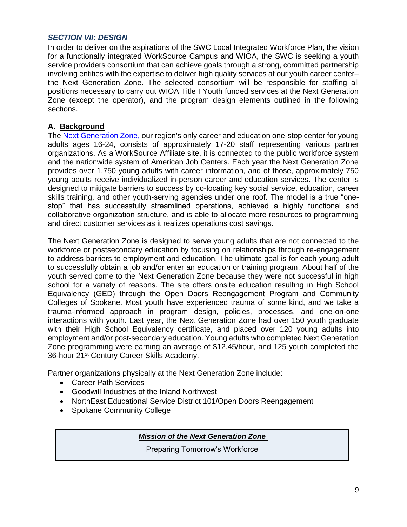#### *SECTION VII: DESIGN*

In order to deliver on the aspirations of the SWC Local Integrated Workforce Plan, the vision for a functionally integrated WorkSource Campus and WIOA, the SWC is seeking a youth service providers consortium that can achieve goals through a strong, committed partnership involving entities with the expertise to deliver high quality services at our youth career center– the Next Generation Zone. The selected consortium will be responsible for staffing all positions necessary to carry out WIOA Title I Youth funded services at the Next Generation Zone (except the operator), and the program design elements outlined in the following sections.

## **A. Background**

The [Next Generation Zone,](https://nextgenzone.org/) our region's only career and education one-stop center for young adults ages 16-24, consists of approximately 17-20 staff representing various partner organizations. As a WorkSource Affiliate site, it is connected to the public workforce system and the nationwide system of American Job Centers. Each year the Next Generation Zone provides over 1,750 young adults with career information, and of those, approximately 750 young adults receive individualized in-person career and education services. The center is designed to mitigate barriers to success by co-locating key social service, education, career skills training, and other youth-serving agencies under one roof. The model is a true "onestop" that has successfully streamlined operations, achieved a highly functional and collaborative organization structure, and is able to allocate more resources to programming and direct customer services as it realizes operations cost savings.

The Next Generation Zone is designed to serve young adults that are not connected to the workforce or postsecondary education by focusing on relationships through re-engagement to address barriers to employment and education. The ultimate goal is for each young adult to successfully obtain a job and/or enter an education or training program. About half of the youth served come to the Next Generation Zone because they were not successful in high school for a variety of reasons. The site offers onsite education resulting in High School Equivalency (GED) through the Open Doors Reengagement Program and Community Colleges of Spokane. Most youth have experienced trauma of some kind, and we take a trauma-informed approach in program design, policies, processes, and one-on-one interactions with youth. Last year, the Next Generation Zone had over 150 youth graduate with their High School Equivalency certificate, and placed over 120 young adults into employment and/or post-secondary education. Young adults who completed Next Generation Zone programming were earning an average of \$12.45/hour, and 125 youth completed the 36-hour 21<sup>st</sup> Century Career Skills Academy.

Partner organizations physically at the Next Generation Zone include:

- Career Path Services
- Goodwill Industries of the Inland Northwest
- NorthEast Educational Service District 101/Open Doors Reengagement
- Spokane Community College

## *Mission of the Next Generation Zone*

Preparing Tomorrow's Workforce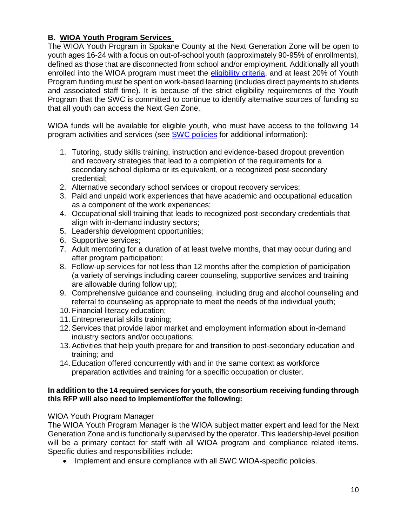## **B. WIOA Youth Program Services**

The WIOA Youth Program in Spokane County at the Next Generation Zone will be open to youth ages 16-24 with a focus on out-of-school youth (approximately 90-95% of enrollments), defined as those that are disconnected from school and/or employment. Additionally all youth enrolled into the WIOA program must meet the [eligibility criteria,](http://www.wdcspokane.com/core/files/wdcspokane/uploads/files/SAWDC%20Policy%20W401%20Rev2%20-%20SAWDC%20Eligibility%20and%20Documentation%20Requirements%20022216.pdf) and at least 20% of Youth Program funding must be spent on work-based learning (includes direct payments to students and associated staff time). It is because of the strict eligibility requirements of the Youth Program that the SWC is committed to continue to identify alternative sources of funding so that all youth can access the Next Gen Zone.

WIOA funds will be available for eligible youth, who must have access to the following 14 program activities and services (see [SWC policies](https://wdcspokane.com/policies) for additional information):

- 1. Tutoring, study skills training, instruction and evidence-based dropout prevention and recovery strategies that lead to a completion of the requirements for a secondary school diploma or its equivalent, or a recognized post-secondary credential;
- 2. Alternative secondary school services or dropout recovery services;
- 3. Paid and unpaid work experiences that have academic and occupational education as a component of the work experiences;
- 4. Occupational skill training that leads to recognized post-secondary credentials that align with in-demand industry sectors;
- 5. Leadership development opportunities;
- 6. Supportive services;
- 7. Adult mentoring for a duration of at least twelve months, that may occur during and after program participation;
- 8. Follow-up services for not less than 12 months after the completion of participation (a variety of servings including career counseling, supportive services and training are allowable during follow up);
- 9. Comprehensive guidance and counseling, including drug and alcohol counseling and referral to counseling as appropriate to meet the needs of the individual youth;
- 10. Financial literacy education;
- 11. Entrepreneurial skills training;
- 12. Services that provide labor market and employment information about in-demand industry sectors and/or occupations;
- 13. Activities that help youth prepare for and transition to post-secondary education and training; and
- 14. Education offered concurrently with and in the same context as workforce preparation activities and training for a specific occupation or cluster.

#### **In addition to the 14 required services for youth, the consortium receiving funding through this RFP will also need to implement/offer the following:**

#### WIOA Youth Program Manager

The WIOA Youth Program Manager is the WIOA subject matter expert and lead for the Next Generation Zone and is functionally supervised by the operator. This leadership-level position will be a primary contact for staff with all WIOA program and compliance related items. Specific duties and responsibilities include:

• Implement and ensure compliance with all SWC WIOA-specific policies.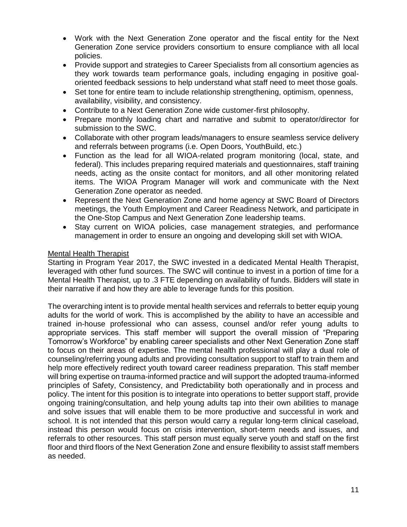- Work with the Next Generation Zone operator and the fiscal entity for the Next Generation Zone service providers consortium to ensure compliance with all local policies.
- Provide support and strategies to Career Specialists from all consortium agencies as they work towards team performance goals, including engaging in positive goaloriented feedback sessions to help understand what staff need to meet those goals.
- Set tone for entire team to include relationship strengthening, optimism, openness, availability, visibility, and consistency.
- Contribute to a Next Generation Zone wide customer-first philosophy.
- Prepare monthly loading chart and narrative and submit to operator/director for submission to the SWC.
- Collaborate with other program leads/managers to ensure seamless service delivery and referrals between programs (i.e. Open Doors, YouthBuild, etc.)
- Function as the lead for all WIOA-related program monitoring (local, state, and federal). This includes preparing required materials and questionnaires, staff training needs, acting as the onsite contact for monitors, and all other monitoring related items. The WIOA Program Manager will work and communicate with the Next Generation Zone operator as needed.
- Represent the Next Generation Zone and home agency at SWC Board of Directors meetings, the Youth Employment and Career Readiness Network, and participate in the One-Stop Campus and Next Generation Zone leadership teams.
- Stay current on WIOA policies, case management strategies, and performance management in order to ensure an ongoing and developing skill set with WIOA.

### Mental Health Therapist

Starting in Program Year 2017, the SWC invested in a dedicated Mental Health Therapist, leveraged with other fund sources. The SWC will continue to invest in a portion of time for a Mental Health Therapist, up to .3 FTE depending on availability of funds. Bidders will state in their narrative if and how they are able to leverage funds for this position.

The overarching intent is to provide mental health services and referrals to better equip young adults for the world of work. This is accomplished by the ability to have an accessible and trained in-house professional who can assess, counsel and/or refer young adults to appropriate services. This staff member will support the overall mission of "Preparing Tomorrow's Workforce" by enabling career specialists and other Next Generation Zone staff to focus on their areas of expertise. The mental health professional will play a dual role of counseling/referring young adults and providing consultation support to staff to train them and help more effectively redirect youth toward career readiness preparation. This staff member will bring expertise on trauma-informed practice and will support the adopted trauma-informed principles of Safety, Consistency, and Predictability both operationally and in process and policy. The intent for this position is to integrate into operations to better support staff, provide ongoing training/consultation, and help young adults tap into their own abilities to manage and solve issues that will enable them to be more productive and successful in work and school. It is not intended that this person would carry a regular long-term clinical caseload, instead this person would focus on crisis intervention, short-term needs and issues, and referrals to other resources. This staff person must equally serve youth and staff on the first floor and third floors of the Next Generation Zone and ensure flexibility to assist staff members as needed.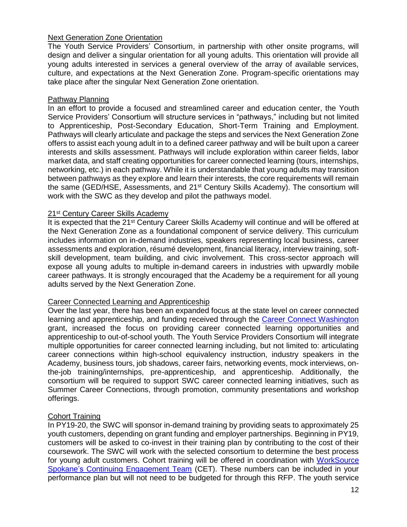#### Next Generation Zone Orientation

The Youth Service Providers' Consortium, in partnership with other onsite programs, will design and deliver a singular orientation for all young adults. This orientation will provide all young adults interested in services a general overview of the array of available services, culture, and expectations at the Next Generation Zone. Program-specific orientations may take place after the singular Next Generation Zone orientation.

#### Pathway Planning

In an effort to provide a focused and streamlined career and education center, the Youth Service Providers' Consortium will structure services in "pathways," including but not limited to Apprenticeship, Post-Secondary Education, Short-Term Training and Employment. Pathways will clearly articulate and package the steps and services the Next Generation Zone offers to assist each young adult in to a defined career pathway and will be built upon a career interests and skills assessment. Pathways will include exploration within career fields, labor market data, and staff creating opportunities for career connected learning (tours, internships, networking, etc.) in each pathway. While it is understandable that young adults may transition between pathways as they explore and learn their interests, the core requirements will remain the same (GED/HSE, Assessments, and 21st Century Skills Academy). The consortium will work with the SWC as they develop and pilot the pathways model.

#### 21<sup>st</sup> Century Career Skills Academy

It is expected that the 21<sup>st</sup> Century Career Skills Academy will continue and will be offered at the Next Generation Zone as a foundational component of service delivery. This curriculum includes information on in-demand industries, speakers representing local business, career assessments and exploration, résumé development, financial literacy, interview training, softskill development, team building, and civic involvement. This cross-sector approach will expose all young adults to multiple in-demand careers in industries with upwardly mobile career pathways. It is strongly encouraged that the Academy be a requirement for all young adults served by the Next Generation Zone.

#### Career Connected Learning and Apprenticeship

Over the last year, there has been an expanded focus at the state level on career connected learning and apprenticeship, and funding received through the [Career Connect Washington](https://careerconnectwa.org/) grant, increased the focus on providing career connected learning opportunities and apprenticeship to out-of-school youth. The Youth Service Providers Consortium will integrate multiple opportunities for career connected learning including, but not limited to: articulating career connections within high-school equivalency instruction, industry speakers in the Academy, business tours, job shadows, career fairs, networking events, mock interviews, onthe-job training/internships, pre-apprenticeship, and apprenticeship. Additionally, the consortium will be required to support SWC career connected learning initiatives, such as Summer Career Connections, through promotion, community presentations and workshop offerings.

#### Cohort Training

In PY19-20, the SWC will sponsor in-demand training by providing seats to approximately 25 youth customers, depending on grant funding and employer partnerships. Beginning in PY19, customers will be asked to co-invest in their training plan by contributing to the cost of their coursework. The SWC will work with the selected consortium to determine the best process for young adult customers. Cohort training will be offered in coordination with [WorkSource](http://www.wdcspokane.com/rfps)  [Spokane's Continuing Engagement Team](http://www.wdcspokane.com/rfps) (CET). These numbers can be included in your performance plan but will not need to be budgeted for through this RFP. The youth service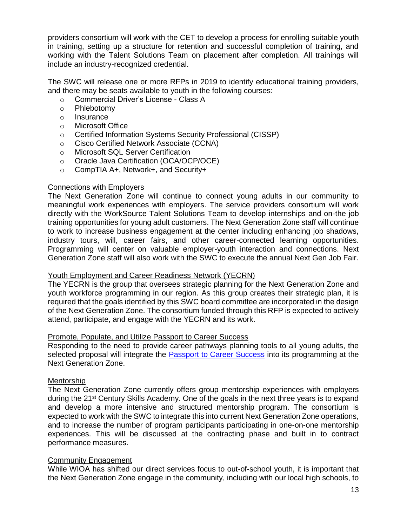providers consortium will work with the CET to develop a process for enrolling suitable youth in training, setting up a structure for retention and successful completion of training, and working with the Talent Solutions Team on placement after completion. All trainings will include an industry-recognized credential.

The SWC will release one or more RFPs in 2019 to identify educational training providers, and there may be seats available to youth in the following courses:

- o Commercial Driver's License Class A
- o Phlebotomy
- o Insurance
- o Microsoft Office
- o Certified Information Systems Security Professional (CISSP)
- o Cisco Certified Network Associate (CCNA)
- o Microsoft SQL Server Certification
- o Oracle Java Certification (OCA/OCP/OCE)
- o CompTIA A+, Network+, and Security+

#### Connections with Employers

The Next Generation Zone will continue to connect young adults in our community to meaningful work experiences with employers. The service providers consortium will work directly with the WorkSource Talent Solutions Team to develop internships and on-the job training opportunities for young adult customers. The Next Generation Zone staff will continue to work to increase business engagement at the center including enhancing job shadows, industry tours, will, career fairs, and other career-connected learning opportunities. Programming will center on valuable employer-youth interaction and connections. Next Generation Zone staff will also work with the SWC to execute the annual Next Gen Job Fair.

#### Youth Employment and Career Readiness Network (YECRN)

The YECRN is the group that oversees strategic planning for the Next Generation Zone and youth workforce programming in our region. As this group creates their strategic plan, it is required that the goals identified by this SWC board committee are incorporated in the design of the Next Generation Zone. The consortium funded through this RFP is expected to actively attend, participate, and engage with the YECRN and its work.

#### Promote, Populate, and Utilize Passport to Career Success

Responding to the need to provide career pathways planning tools to all young adults, the selected proposal will integrate the **Passport to Career Success** into its programming at the Next Generation Zone.

#### Mentorship

The Next Generation Zone currently offers group mentorship experiences with employers during the 21<sup>st</sup> Century Skills Academy. One of the goals in the next three years is to expand and develop a more intensive and structured mentorship program. The consortium is expected to work with the SWC to integrate this into current Next Generation Zone operations, and to increase the number of program participants participating in one-on-one mentorship experiences. This will be discussed at the contracting phase and built in to contract performance measures.

#### Community Engagement

While WIOA has shifted our direct services focus to out-of-school youth, it is important that the Next Generation Zone engage in the community, including with our local high schools, to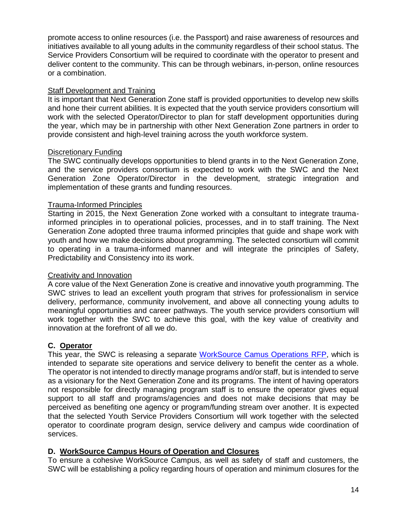promote access to online resources (i.e. the Passport) and raise awareness of resources and initiatives available to all young adults in the community regardless of their school status. The Service Providers Consortium will be required to coordinate with the operator to present and deliver content to the community. This can be through webinars, in-person, online resources or a combination.

## Staff Development and Training

It is important that Next Generation Zone staff is provided opportunities to develop new skills and hone their current abilities. It is expected that the youth service providers consortium will work with the selected Operator/Director to plan for staff development opportunities during the year, which may be in partnership with other Next Generation Zone partners in order to provide consistent and high-level training across the youth workforce system.

### Discretionary Funding

The SWC continually develops opportunities to blend grants in to the Next Generation Zone, and the service providers consortium is expected to work with the SWC and the Next Generation Zone Operator/Director in the development, strategic integration and implementation of these grants and funding resources.

### Trauma-Informed Principles

Starting in 2015, the Next Generation Zone worked with a consultant to integrate traumainformed principles in to operational policies, processes, and in to staff training. The Next Generation Zone adopted three trauma informed principles that guide and shape work with youth and how we make decisions about programming. The selected consortium will commit to operating in a trauma-informed manner and will integrate the principles of Safety, Predictability and Consistency into its work.

#### Creativity and Innovation

A core value of the Next Generation Zone is creative and innovative youth programming. The SWC strives to lead an excellent youth program that strives for professionalism in service delivery, performance, community involvement, and above all connecting young adults to meaningful opportunities and career pathways. The youth service providers consortium will work together with the SWC to achieve this goal, with the key value of creativity and innovation at the forefront of all we do.

## **C. Operator**

This year, the SWC is releasing a separate [WorkSource Camus Operations RFP,](https://wdcspokane.com/rfps) which is intended to separate site operations and service delivery to benefit the center as a whole. The operator is not intended to directly manage programs and/or staff, but is intended to serve as a visionary for the Next Generation Zone and its programs. The intent of having operators not responsible for directly managing program staff is to ensure the operator gives equal support to all staff and programs/agencies and does not make decisions that may be perceived as benefiting one agency or program/funding stream over another. It is expected that the selected Youth Service Providers Consortium will work together with the selected operator to coordinate program design, service delivery and campus wide coordination of services.

## **D. WorkSource Campus Hours of Operation and Closures**

To ensure a cohesive WorkSource Campus, as well as safety of staff and customers, the SWC will be establishing a policy regarding hours of operation and minimum closures for the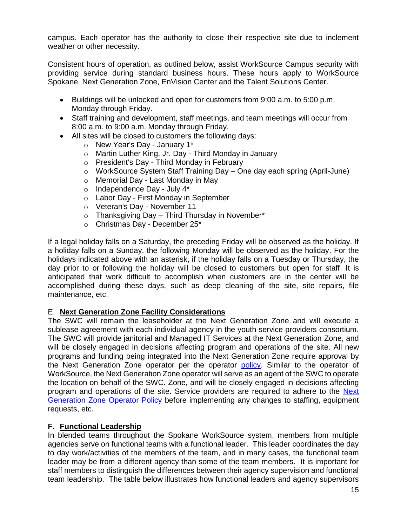campus. Each operator has the authority to close their respective site due to inclement weather or other necessity.

Consistent hours of operation, as outlined below, assist WorkSource Campus security with providing service during standard business hours. These hours apply to WorkSource Spokane, Next Generation Zone, EnVision Center and the Talent Solutions Center.

- Buildings will be unlocked and open for customers from 9:00 a.m. to 5:00 p.m. Monday through Friday.
- Staff training and development, staff meetings, and team meetings will occur from 8:00 a.m. to 9:00 a.m. Monday through Friday.
- All sites will be closed to customers the following days:
	- o New Year's Day January 1\*
	- o Martin Luther King, Jr. Day Third Monday in January
	- o President's Day Third Monday in February
	- o WorkSource System Staff Training Day One day each spring (April-June)
	- o Memorial Day Last Monday in May
	- o Independence Day July 4\*
	- o Labor Day First Monday in September
	- o Veteran's Day November 11
	- $\circ$  Thanksgiving Day Third Thursday in November\*
	- o Christmas Day December 25\*

If a legal holiday falls on a Saturday, the preceding Friday will be observed as the holiday. If a holiday falls on a Sunday, the following Monday will be observed as the holiday. For the holidays indicated above with an asterisk, if the holiday falls on a Tuesday or Thursday, the day prior to or following the holiday will be closed to customers but open for staff. It is anticipated that work difficult to accomplish when customers are in the center will be accomplished during these days, such as deep cleaning of the site, site repairs, file maintenance, etc.

## E. **Next Generation Zone Facility Considerations**

The SWC will remain the leaseholder at the Next Generation Zone and will execute a sublease agreement with each individual agency in the youth service providers consortium. The SWC will provide janitorial and Managed IT Services at the Next Generation Zone, and will be closely engaged in decisions affecting program and operations of the site. All new programs and funding being integrated into the Next Generation Zone require approval by the Next Generation Zone operator per the operator [policy.](https://wdcspokane.com/core/files/wdcspokane/uploads/files/SWC%20Policy%20WS818%20-%20Next%20Generation%20Zone%20Operator%20Final%202019.pdf) Similar to the operator of WorkSource, the Next Generation Zone operator will serve as an agent of the SWC to operate the location on behalf of the SWC. Zone, and will be closely engaged in decisions affecting program and operations of the site. Service providers are required to adhere to the [Next](https://wdcspokane.com/core/files/wdcspokane/uploads/files/SWC%20Policy%20WS818%20-%20Next%20Generation%20Zone%20Operator%20Final%202019.pdf)  [Generation Zone Operator Policy](https://wdcspokane.com/core/files/wdcspokane/uploads/files/SWC%20Policy%20WS818%20-%20Next%20Generation%20Zone%20Operator%20Final%202019.pdf) before implementing any changes to staffing, equipment requests, etc.

## **F. Functional Leadership**

In blended teams throughout the Spokane WorkSource system, members from multiple agencies serve on functional teams with a functional leader. This leader coordinates the day to day work/activities of the members of the team, and in many cases, the functional team leader may be from a different agency than some of the team members. It is important for staff members to distinguish the differences between their agency supervision and functional team leadership. The table below illustrates how functional leaders and agency supervisors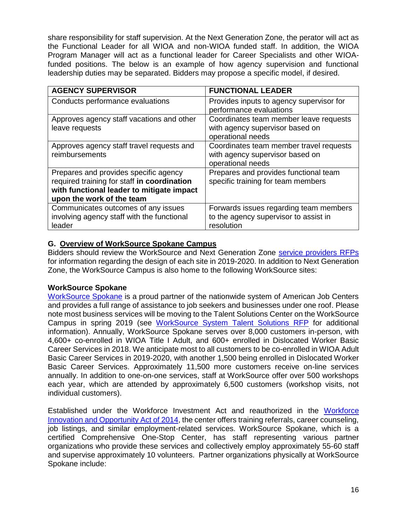share responsibility for staff supervision. At the Next Generation Zone, the perator will act as the Functional Leader for all WIOA and non-WIOA funded staff. In addition, the WIOA Program Manager will act as a functional leader for Career Specialists and other WIOAfunded positions. The below is an example of how agency supervision and functional leadership duties may be separated. Bidders may propose a specific model, if desired.

| <b>AGENCY SUPERVISOR</b>                                                                                                                                       | <b>FUNCTIONAL LEADER</b>                                                                        |
|----------------------------------------------------------------------------------------------------------------------------------------------------------------|-------------------------------------------------------------------------------------------------|
| Conducts performance evaluations                                                                                                                               | Provides inputs to agency supervisor for<br>performance evaluations                             |
| Approves agency staff vacations and other<br>leave requests                                                                                                    | Coordinates team member leave requests<br>with agency supervisor based on<br>operational needs  |
| Approves agency staff travel requests and<br>reimbursements                                                                                                    | Coordinates team member travel requests<br>with agency supervisor based on<br>operational needs |
| Prepares and provides specific agency<br>required training for staff in coordination<br>with functional leader to mitigate impact<br>upon the work of the team | Prepares and provides functional team<br>specific training for team members                     |
| Communicates outcomes of any issues<br>involving agency staff with the functional<br>leader                                                                    | Forwards issues regarding team members<br>to the agency supervisor to assist in<br>resolution   |

## **G. Overview of WorkSource Spokane Campus**

Bidders should review the WorkSource and Next Generation Zone [service providers RFPs](https://wdcspokane.com/rfps) for information regarding the design of each site in 2019-2020. In addition to Next Generation Zone, the WorkSource Campus is also home to the following WorkSource sites:

## **WorkSource Spokane**

[WorkSource Spokane](https://worksourcespokane.com/) is a proud partner of the nationwide system of American Job Centers and provides a full range of assistance to job seekers and businesses under one roof. Please note most business services will be moving to the Talent Solutions Center on the WorkSource Campus in spring 2019 (see [WorkSource System Talent Solutions RFP](https://wdcspokane.com/rfps) for additional information). Annually, WorkSource Spokane serves over 8,000 customers in-person, with 4,600+ co-enrolled in WIOA Title I Adult, and 600+ enrolled in Dislocated Worker Basic Career Services in 2018. We anticipate most to all customers to be co-enrolled in WIOA Adult Basic Career Services in 2019-2020, with another 1,500 being enrolled in Dislocated Worker Basic Career Services. Approximately 11,500 more customers receive on-line services annually. In addition to one-on-one services, staff at WorkSource offer over 500 workshops each year, which are attended by approximately 6,500 customers (workshop visits, not individual customers).

Established under the Workforce Investment Act and reauthorized in the [Workforce](https://www.doleta.gov/wioa/)  [Innovation and Opportunity Act of 2014,](https://www.doleta.gov/wioa/) the center offers training referrals, career counseling, job listings, and similar employment-related services. WorkSource Spokane, which is a certified Comprehensive One-Stop Center, has staff representing various partner organizations who provide these services and collectively employ approximately 55-60 staff and supervise approximately 10 volunteers. Partner organizations physically at WorkSource Spokane include: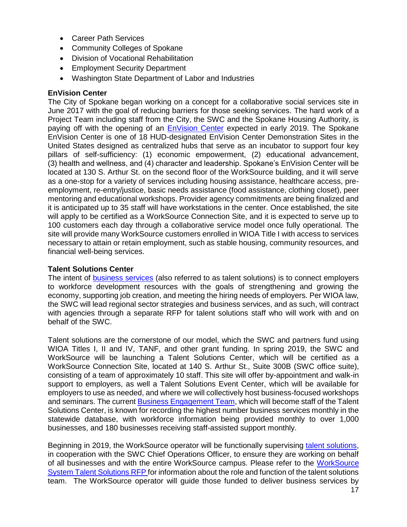- Career Path Services
- Community Colleges of Spokane
- Division of Vocational Rehabilitation
- Employment Security Department
- Washington State Department of Labor and Industries

#### **EnVision Center**

The City of Spokane began working on a concept for a collaborative social services site in June 2017 with the goal of reducing barriers for those seeking services. The hard work of a Project Team including staff from the City, the SWC and the Spokane Housing Authority, is paying off with the opening of an **EnVision Center** expected in early 2019. The Spokane EnVision Center is one of 18 HUD-designated EnVision Center Demonstration Sites in the United States designed as centralized hubs that serve as an incubator to support four key pillars of self-sufficiency: (1) economic empowerment, (2) educational advancement, (3) health and wellness, and (4) character and leadership. Spokane's EnVision Center will be located at 130 S. Arthur St. on the second floor of the WorkSource building, and it will serve as a one-stop for a variety of services including housing assistance, healthcare access, preemployment, re-entry/justice, basic needs assistance (food assistance, clothing closet), peer mentoring and educational workshops. Provider agency commitments are being finalized and it is anticipated up to 35 staff will have workstations in the center. Once established, the site will apply to be certified as a WorkSource Connection Site, and it is expected to serve up to 100 customers each day through a collaborative service model once fully operational. The site will provide many WorkSource customers enrolled in WIOA Title I with access to services necessary to attain or retain employment, such as stable housing, community resources, and financial well-being services.

## **Talent Solutions Center**

The intent of **business services** (also referred to as talent solutions) is to connect employers to workforce development resources with the goals of strengthening and growing the economy, supporting job creation, and meeting the hiring needs of employers. Per WIOA law, the SWC will lead regional sector strategies and business services, and as such, will contract with agencies through a separate RFP for talent solutions staff who will work with and on behalf of the SWC.

Talent solutions are the cornerstone of our model, which the SWC and partners fund using WIOA Titles I, II and IV, TANF, and other grant funding. In spring 2019, the SWC and WorkSource will be launching a Talent Solutions Center, which will be certified as a WorkSource Connection Site, located at 140 S. Arthur St., Suite 300B (SWC office suite), consisting of a team of approximately 10 staff. This site will offer by-appointment and walk-in support to employers, as well a Talent Solutions Event Center, which will be available for employers to use as needed, and where we will collectively host business-focused workshops and seminars. The current [Business Engagement Team,](https://worksourcespokane.com/for-employers) which will become staff of the Talent Solutions Center, is known for recording the highest number business services monthly in the statewide database, with workforce information being provided monthly to over 1,000 businesses, and 180 businesses receiving staff-assisted support monthly.

Beginning in 2019, the WorkSource operator will be functionally supervising [talent solutions,](https://wdcspokane.com/rfps) in cooperation with the SWC Chief Operations Officer, to ensure they are working on behalf of all businesses and with the entire WorkSource campus. Please refer to the [WorkSource](http://www.wdcspokane.com/rfps)  [System Talent Solutions RFP](http://www.wdcspokane.com/rfps) for information about the role and function of the talent solutions team. The WorkSource operator will guide those funded to deliver business services by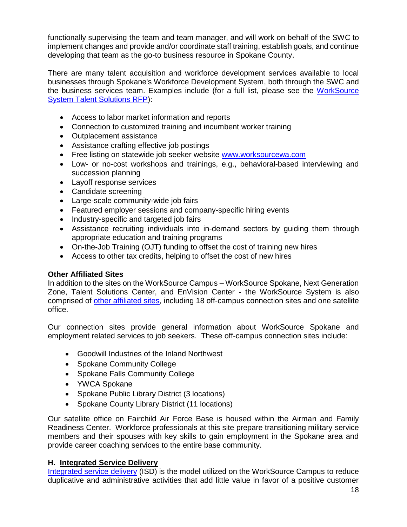functionally supervising the team and team manager, and will work on behalf of the SWC to implement changes and provide and/or coordinate staff training, establish goals, and continue developing that team as the go-to business resource in Spokane County.

There are many talent acquisition and workforce development services available to local businesses through Spokane's Workforce Development System, both through the SWC and the business services team. Examples include (for a full list, please see the [WorkSource](http://www.wdcspokane.com/rfps)  [System Talent Solutions RFP\)](http://www.wdcspokane.com/rfps):

- Access to labor market information and reports
- Connection to customized training and incumbent worker training
- Outplacement assistance
- Assistance crafting effective job postings
- Free listing on statewide job seeker website [www.worksourcewa.com](https://worksourcewa.com/)
- Low- or no-cost workshops and trainings, e.g., behavioral-based interviewing and succession planning
- Layoff [response](http://wdcspokane.com/layoff-response) services
- Candidate screening
- Large-scale community-wide job fairs
- Featured employer sessions and company-specific hiring events
- Industry-specific and targeted job fairs
- Assistance recruiting individuals into in-demand sectors by guiding them through appropriate education and training programs
- On-the-Job Training (OJT) funding to offset the cost of training new hires
- Access to other tax credits, helping to offset the cost of new hires

## **Other Affiliated Sites**

In addition to the sites on the WorkSource Campus – WorkSource Spokane, Next Generation Zone, Talent Solutions Center, and EnVision Center - the WorkSource System is also comprised of [other affiliated sites,](https://worksourcespokane.com/partners) including 18 off-campus connection sites and one satellite office.

Our connection sites provide general information about WorkSource Spokane and employment related services to job seekers. These off-campus connection sites include:

- Goodwill Industries of the Inland Northwest
- Spokane Community College
- Spokane Falls Community College
- YWCA Spokane
- Spokane Public Library District (3 locations)
- Spokane County Library District (11 locations)

Our satellite office on Fairchild Air Force Base is housed within the Airman and Family Readiness Center. Workforce professionals at this site prepare transitioning military service members and their spouses with key skills to gain employment in the Spokane area and provide career coaching services to the entire base community.

## **H. Integrated Service Delivery**

[Integrated service delivery](https://wdcspokane.com/core/files/wdcspokane/uploads/files/WS815%20Integrated%20Service%20Delivery%20Policy%20Final%20110918.pdf) (ISD) is the model utilized on the WorkSource Campus to reduce duplicative and administrative activities that add little value in favor of a positive customer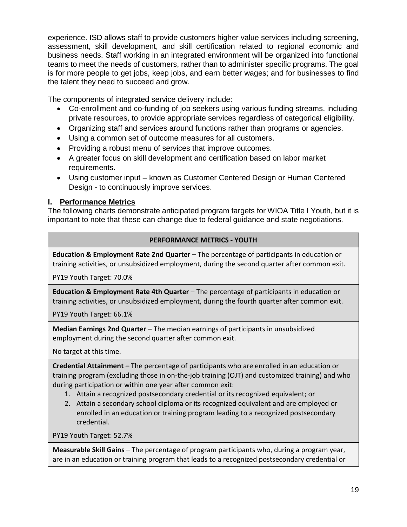experience. ISD allows staff to provide customers higher value services including screening, assessment, skill development, and skill certification related to regional economic and business needs. Staff working in an integrated environment will be organized into functional teams to meet the needs of customers, rather than to administer specific programs. The goal is for more people to get jobs, keep jobs, and earn better wages; and for businesses to find the talent they need to succeed and grow.

The components of integrated service delivery include:

- Co-enrollment and co-funding of job seekers using various funding streams, including private resources, to provide appropriate services regardless of categorical eligibility.
- Organizing staff and services around functions rather than programs or agencies.
- Using a common set of outcome measures for all customers.
- Providing a robust menu of services that improve outcomes.
- A greater focus on skill development and certification based on labor market requirements.
- Using customer input known as Customer Centered Design or Human Centered Design - to continuously improve services.

## **I. Performance Metrics**

The following charts demonstrate anticipated program targets for WIOA Title I Youth, but it is important to note that these can change due to federal guidance and state negotiations.

## **PERFORMANCE METRICS - YOUTH**

**Education & Employment Rate 2nd Quarter** – The percentage of participants in education or training activities, or unsubsidized employment, during the second quarter after common exit.

PY19 Youth Target: 70.0%

**Education & Employment Rate 4th Quarter** – The percentage of participants in education or training activities, or unsubsidized employment, during the fourth quarter after common exit.

PY19 Youth Target: 66.1%

**Median Earnings 2nd Quarter** – The median earnings of participants in unsubsidized employment during the second quarter after common exit.

No target at this time.

**Credential Attainment –** The percentage of participants who are enrolled in an education or training program (excluding those in on-the-job training (OJT) and customized training) and who during participation or within one year after common exit:

- 1. Attain a recognized postsecondary credential or its recognized equivalent; or
- 2. Attain a secondary school diploma or its recognized equivalent and are employed or enrolled in an education or training program leading to a recognized postsecondary credential.

PY19 Youth Target: 52.7%

**Measurable Skill Gains** – The percentage of program participants who, during a program year, are in an education or training program that leads to a recognized postsecondary credential or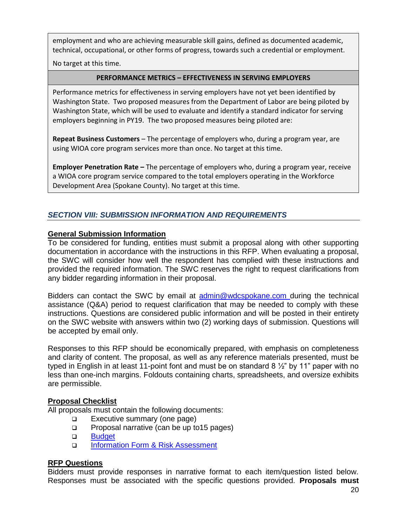employment and who are achieving measurable skill gains, defined as documented academic, technical, occupational, or other forms of progress, towards such a credential or employment.

No target at this time.

#### **PERFORMANCE METRICS – EFFECTIVENESS IN SERVING EMPLOYERS**

Performance metrics for effectiveness in serving employers have not yet been identified by Washington State. Two proposed measures from the Department of Labor are being piloted by Washington State, which will be used to evaluate and identify a standard indicator for serving employers beginning in PY19. The two proposed measures being piloted are:

**Repeat Business Customers** – The percentage of employers who, during a program year, are using WIOA core program services more than once. No target at this time.

**Employer Penetration Rate –** The percentage of employers who, during a program year, receive a WIOA core program service compared to the total employers operating in the Workforce Development Area (Spokane County). No target at this time.

## *SECTION VIII: SUBMISSION INFORMATION AND REQUIREMENTS*

### **General Submission Information**

To be considered for funding, entities must submit a proposal along with other supporting documentation in accordance with the instructions in this RFP. When evaluating a proposal, the SWC will consider how well the respondent has complied with these instructions and provided the required information. The SWC reserves the right to request clarifications from any bidder regarding information in their proposal.

Bidders can contact the SWC by email at [admin@wdcspokane.com](mailto:admin@wdcspokane.com) during the technical assistance (Q&A) period to request clarification that may be needed to comply with these instructions. Questions are considered public information and will be posted in their entirety on the SWC website with answers within two (2) working days of submission. Questions will be accepted by email only.

Responses to this RFP should be economically prepared, with emphasis on completeness and clarity of content. The proposal, as well as any reference materials presented, must be typed in English in at least 11-point font and must be on standard 8 ½" by 11" paper with no less than one-inch margins. Foldouts containing charts, spreadsheets, and oversize exhibits are permissible.

## **Proposal Checklist**

All proposals must contain the following documents:

- □ Executive summary (one page)
- **Proposal narrative (can be up to 15 pages)**
- **D** Budget
- [Information Form & Risk Assessment](http://www.wdcspokane.com/rfps)

## **RFP Questions**

Bidders must provide responses in narrative format to each item/question listed below. Responses must be associated with the specific questions provided. **Proposals must**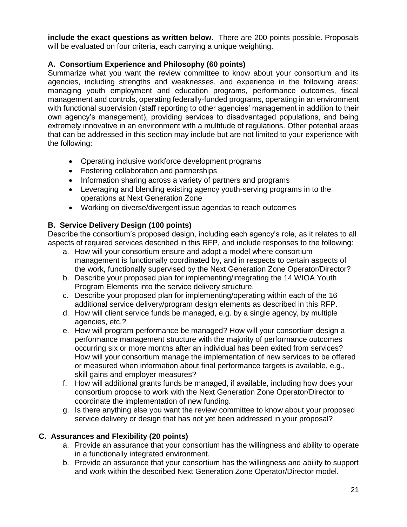**include the exact questions as written below.** There are 200 points possible. Proposals will be evaluated on four criteria, each carrying a unique weighting.

## **A. Consortium Experience and Philosophy (60 points)**

Summarize what you want the review committee to know about your consortium and its agencies, including strengths and weaknesses, and experience in the following areas: managing youth employment and education programs, performance outcomes, fiscal management and controls, operating federally-funded programs, operating in an environment with functional supervision (staff reporting to other agencies' management in addition to their own agency's management), providing services to disadvantaged populations, and being extremely innovative in an environment with a multitude of regulations. Other potential areas that can be addressed in this section may include but are not limited to your experience with the following:

- Operating inclusive workforce development programs
- Fostering collaboration and partnerships
- Information sharing across a variety of partners and programs
- Leveraging and blending existing agency youth-serving programs in to the operations at Next Generation Zone
- Working on diverse/divergent issue agendas to reach outcomes

## **B. Service Delivery Design (100 points)**

Describe the consortium's proposed design, including each agency's role, as it relates to all aspects of required services described in this RFP, and include responses to the following:

- a. How will your consortium ensure and adopt a model where consortium management is functionally coordinated by, and in respects to certain aspects of the work, functionally supervised by the Next Generation Zone Operator/Director?
- b. Describe your proposed plan for implementing/integrating the 14 WIOA Youth Program Elements into the service delivery structure.
- c. Describe your proposed plan for implementing/operating within each of the 16 additional service delivery/program design elements as described in this RFP.
- d. How will client service funds be managed, e.g. by a single agency, by multiple agencies, etc.?
- e. How will program performance be managed? How will your consortium design a performance management structure with the majority of performance outcomes occurring six or more months after an individual has been exited from services? How will your consortium manage the implementation of new services to be offered or measured when information about final performance targets is available, e.g., skill gains and employer measures?
- f. How will additional grants funds be managed, if available, including how does your consortium propose to work with the Next Generation Zone Operator/Director to coordinate the implementation of new funding.
- g. Is there anything else you want the review committee to know about your proposed service delivery or design that has not yet been addressed in your proposal?

## **C. Assurances and Flexibility (20 points)**

- a. Provide an assurance that your consortium has the willingness and ability to operate in a functionally integrated environment.
- b. Provide an assurance that your consortium has the willingness and ability to support and work within the described Next Generation Zone Operator/Director model.